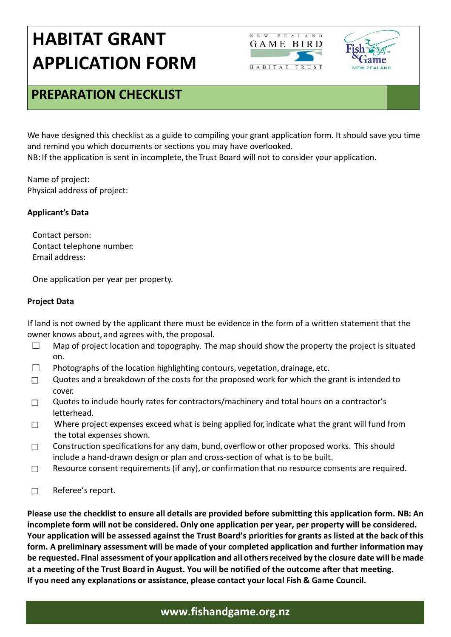



### **PREPARATION CHECKLIST**

We have designed this checklist as a guide to compiling your grant application form. It should save you time and remind you which documents or sections you may have overlooked.

NB: If the application is sent in incomplete, the Trust Board will not to consider your application.

Name of project: Physical address of project:

### **Applicant's Data**

Contact person: Contact telephone number: Email address:

One application per year per property.

### **Project Data**

If land is not owned by the applicant there must be evidence in the form of a written statement that the owner knows about, and agrees with, the proposal.

- $\Box$  Map of project location and topography. The map should show the property the project is situated on.
- □ Photographs of the location highlighting contours, vegetation, drainage, etc.
- $\Box$  Quotes and a breakdown of the costs for the proposed work for which the grant is intended to cover.
- ☐ Quotes to include hourly rates for contractors/machinery and total hours on a contractor's letterhead.
- $\square$  Where project expenses exceed what is being applied for, indicate what the grant will fund from the total expenses shown.
- □ Construction specifications for any dam, bund, overflow or other proposed works. This should include a hand-drawn design or plan and cross-section of what is to be built.
- $\Box$  Resource consent requirements (if any), or confirmation that no resource consents are required.
- ☐ Referee's report.

**Please use the checklist to ensure all details are provided before submitting this application form. NB: An incomplete form will not be considered. Only one application per year, per property will be considered. Your application will be assessed against the Trust Board's priorities for grants as listed at the back of this form. A preliminary assessment will be made of your completed application and further information may be requested. Final assessment of your application and all others received by the closure date will be made at a meeting of the Trust Board in August. You will be notified of the outcome after that meeting. If you need any explanations or assistance, please contact your local Fish & Game Council.**

### **www.fishandgame.org.nz**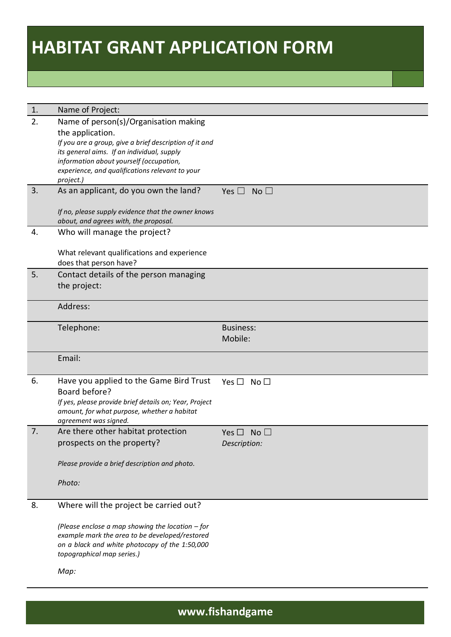| 1. | Name of Project:                                                                                      |                               |
|----|-------------------------------------------------------------------------------------------------------|-------------------------------|
| 2. | Name of person(s)/Organisation making                                                                 |                               |
|    | the application.                                                                                      |                               |
|    | If you are a group, give a brief description of it and                                                |                               |
|    | its general aims. If an individual, supply                                                            |                               |
|    | information about yourself (occupation,                                                               |                               |
|    | experience, and qualifications relevant to your<br>project.)                                          |                               |
| 3. | As an applicant, do you own the land?                                                                 | No <sub>1</sub><br>Yes $\Box$ |
|    |                                                                                                       |                               |
|    | If no, please supply evidence that the owner knows                                                    |                               |
|    | about, and agrees with, the proposal.                                                                 |                               |
| 4. | Who will manage the project?                                                                          |                               |
|    |                                                                                                       |                               |
|    | What relevant qualifications and experience                                                           |                               |
|    | does that person have?                                                                                |                               |
| 5. | Contact details of the person managing                                                                |                               |
|    | the project:                                                                                          |                               |
|    | Address:                                                                                              |                               |
|    |                                                                                                       |                               |
|    | Telephone:                                                                                            | <b>Business:</b>              |
|    |                                                                                                       | Mobile:                       |
|    |                                                                                                       |                               |
|    | Email:                                                                                                |                               |
|    |                                                                                                       |                               |
| 6. | Have you applied to the Game Bird Trust                                                               | Yes $\Box$ No $\Box$          |
|    | Board before?                                                                                         |                               |
|    | If yes, please provide brief details on; Year, Project<br>amount, for what purpose, whether a habitat |                               |
|    | agreement was signed.                                                                                 |                               |
| 7. | Are there other habitat protection                                                                    | Yes $\Box$<br>No <sub>1</sub> |
|    | prospects on the property?                                                                            | Description:                  |
|    |                                                                                                       |                               |
|    | Please provide a brief description and photo.                                                         |                               |
|    | Photo:                                                                                                |                               |
|    |                                                                                                       |                               |
| 8. | Where will the project be carried out?                                                                |                               |
|    |                                                                                                       |                               |
|    | (Please enclose a map showing the location $-$ for                                                    |                               |
|    | example mark the area to be developed/restored                                                        |                               |
|    | on a black and white photocopy of the 1:50,000                                                        |                               |
|    | topographical map series.)                                                                            |                               |
|    | Map:                                                                                                  |                               |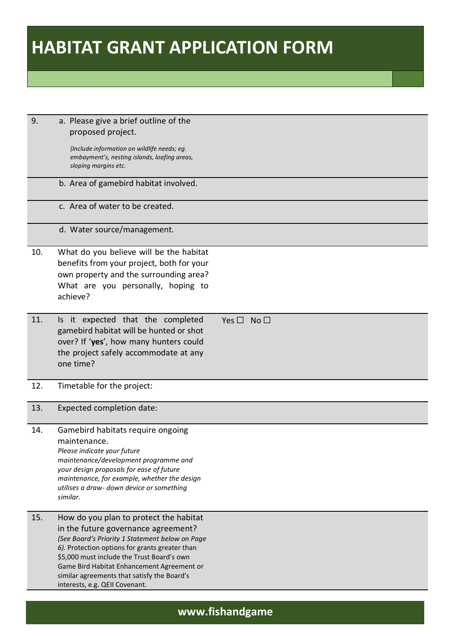| 9.  | a. Please give a brief outline of the<br>proposed project.<br>(Include information on wildlife needs; eg.<br>embayment's, nesting islands, loafing areas,<br>sloping margins etc.<br>b. Area of gamebird habitat involved.<br>c. Area of water to be created.                                                                                                   |
|-----|-----------------------------------------------------------------------------------------------------------------------------------------------------------------------------------------------------------------------------------------------------------------------------------------------------------------------------------------------------------------|
|     | d. Water source/management.                                                                                                                                                                                                                                                                                                                                     |
| 10. | What do you believe will be the habitat<br>benefits from your project, both for your<br>own property and the surrounding area?<br>What are you personally, hoping to<br>achieve?                                                                                                                                                                                |
| 11. | Is it expected that the completed<br>Yes $\square$ No $\square$<br>gamebird habitat will be hunted or shot<br>over? If 'yes', how many hunters could<br>the project safely accommodate at any<br>one time?                                                                                                                                                      |
| 12. | Timetable for the project:                                                                                                                                                                                                                                                                                                                                      |
| 13. | Expected completion date:                                                                                                                                                                                                                                                                                                                                       |
| 14. | Gamebird habitats require ongoing<br>maintenance.<br>Please indicate your future<br>maintenance/development programme and<br>your design proposals for ease of future<br>maintenance, for example, whether the design<br>utilises a draw- down device or something<br>similar.                                                                                  |
| 15. | How do you plan to protect the habitat<br>in the future governance agreement?<br>(See Board's Priority 1 Statement below on Page<br>6). Protection options for grants greater than<br>\$5,000 must include the Trust Board's own<br>Game Bird Habitat Enhancement Agreement or<br>similar agreements that satisfy the Board's<br>interests, e.g. QEII Covenant. |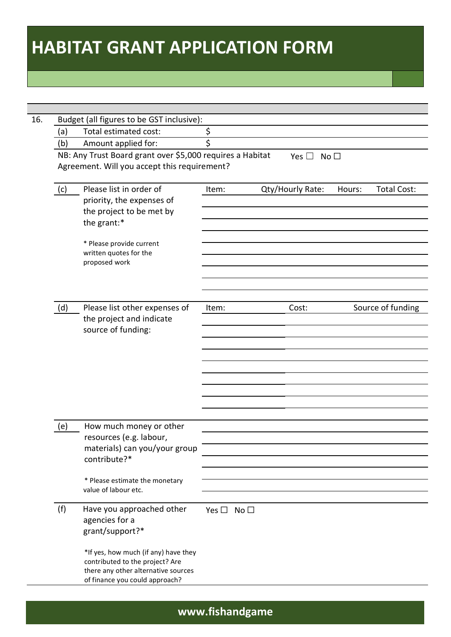| (a)                                                                                                                                           | Budget (all figures to be GST inclusive):<br>Total estimated cost:                                                                               | \$                         |                         |        |                    |
|-----------------------------------------------------------------------------------------------------------------------------------------------|--------------------------------------------------------------------------------------------------------------------------------------------------|----------------------------|-------------------------|--------|--------------------|
| (b)                                                                                                                                           | Amount applied for:                                                                                                                              | \$                         |                         |        |                    |
|                                                                                                                                               |                                                                                                                                                  |                            |                         |        |                    |
| NB: Any Trust Board grant over \$5,000 requires a Habitat<br>No <sub>1</sub><br>Yes $\square$<br>Agreement. Will you accept this requirement? |                                                                                                                                                  |                            |                         |        |                    |
| (c)                                                                                                                                           | Please list in order of<br>priority, the expenses of<br>the project to be met by<br>the grant:*                                                  | Item:                      | <b>Qty/Hourly Rate:</b> | Hours: | <b>Total Cost:</b> |
|                                                                                                                                               | * Please provide current<br>written quotes for the<br>proposed work                                                                              |                            |                         |        |                    |
| (d)                                                                                                                                           | Please list other expenses of<br>the project and indicate<br>source of funding:                                                                  | Item:                      | Cost:                   |        | Source of funding  |
|                                                                                                                                               |                                                                                                                                                  |                            |                         |        |                    |
| (e)                                                                                                                                           | How much money or other<br>resources (e.g. labour,<br>materials) can you/your group<br>contribute?*                                              |                            |                         |        |                    |
|                                                                                                                                               | * Please estimate the monetary<br>value of labour etc.                                                                                           |                            |                         |        |                    |
| (f)                                                                                                                                           | Have you approached other<br>agencies for a<br>grant/support?*                                                                                   | Yes $\square$ No $\square$ |                         |        |                    |
|                                                                                                                                               | *If yes, how much (if any) have they<br>contributed to the project? Are<br>there any other alternative sources<br>of finance you could approach? |                            |                         |        |                    |

**www.fishandgame**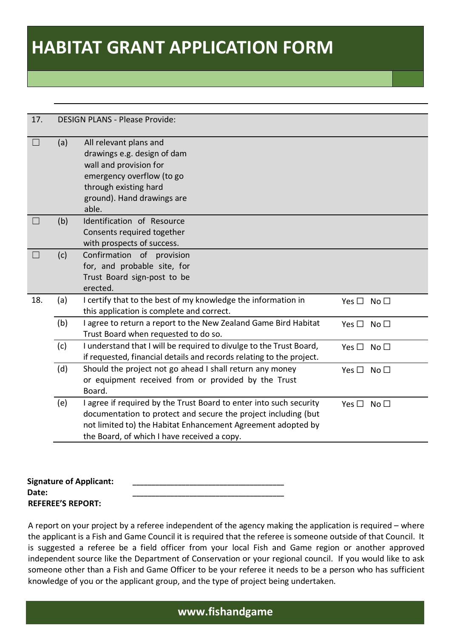| 17.               |     | <b>DESIGN PLANS - Please Provide:</b>                                                                                                                                                                                                               |                            |
|-------------------|-----|-----------------------------------------------------------------------------------------------------------------------------------------------------------------------------------------------------------------------------------------------------|----------------------------|
| $\Box$            | (a) | All relevant plans and<br>drawings e.g. design of dam<br>wall and provision for<br>emergency overflow (to go<br>through existing hard<br>ground). Hand drawings are<br>able.                                                                        |                            |
| $\vert \ \ \vert$ | (b) | Identification of Resource<br>Consents required together<br>with prospects of success.                                                                                                                                                              |                            |
| $\Box$            | (c) | Confirmation of provision<br>for, and probable site, for<br>Trust Board sign-post to be<br>erected.                                                                                                                                                 |                            |
| 18.               | (a) | I certify that to the best of my knowledge the information in<br>this application is complete and correct.                                                                                                                                          | Yes $\Box$ No $\Box$       |
|                   | (b) | I agree to return a report to the New Zealand Game Bird Habitat<br>Trust Board when requested to do so.                                                                                                                                             | Yes $\Box$ No $\Box$       |
|                   | (c) | I understand that I will be required to divulge to the Trust Board,<br>if requested, financial details and records relating to the project.                                                                                                         | Yes $\Box$ No $\Box$       |
|                   | (d) | Should the project not go ahead I shall return any money<br>or equipment received from or provided by the Trust<br>Board.                                                                                                                           | Yes $\Box$ No $\Box$       |
|                   | (e) | I agree if required by the Trust Board to enter into such security<br>documentation to protect and secure the project including (but<br>not limited to) the Habitat Enhancement Agreement adopted by<br>the Board, of which I have received a copy. | Yes $\square$ No $\square$ |

| <b>Signature of Applicant:</b> |  |
|--------------------------------|--|
| Date:                          |  |
| <b>REFEREE'S REPORT:</b>       |  |

A report on your project by a referee independent of the agency making the application is required – where the applicant is a Fish and Game Council it is required that the referee is someone outside of that Council. It is suggested a referee be a field officer from your local Fish and Game region or another approved independent source like the Department of Conservation or your regional council. If you would like to ask someone other than a Fish and Game Officer to be your referee it needs to be a person who has sufficient knowledge of you or the applicant group, and the type of project being undertaken.